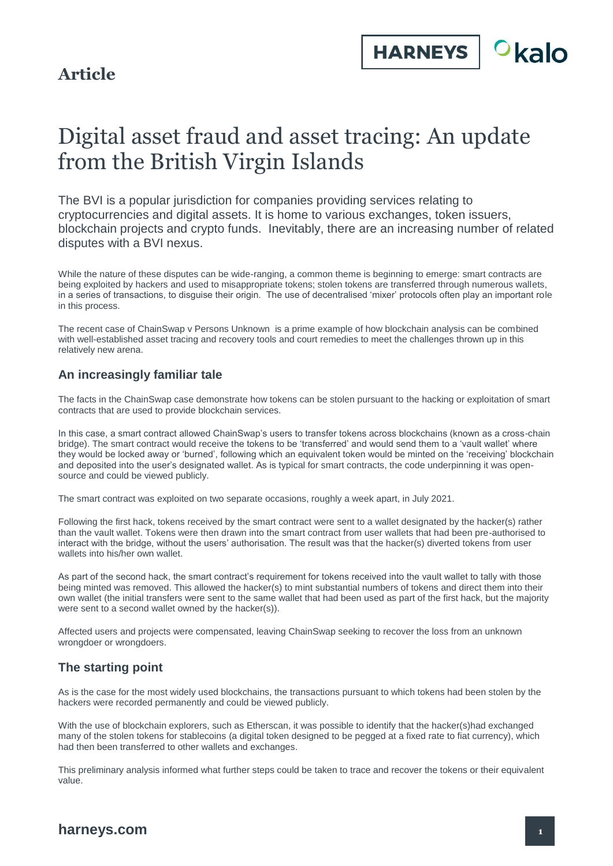Okalo

# Digital asset fraud and asset tracing: An update from the British Virgin Islands

The BVI is a popular jurisdiction for companies providing services relating to cryptocurrencies and digital assets. It is home to various exchanges, token issuers, blockchain projects and crypto funds. Inevitably, there are an increasing number of related disputes with a BVI nexus.

While the nature of these disputes can be wide-ranging, a common theme is beginning to emerge: smart contracts are being exploited by hackers and used to misappropriate tokens; stolen tokens are transferred through numerous wallets, in a series of transactions, to disguise their origin. The use of decentralised 'mixer' protocols often play an important role in this process.

The recent case of ChainSwap v Persons Unknown is a prime example of how blockchain analysis can be combined with well-established asset tracing and recovery tools and court remedies to meet the challenges thrown up in this relatively new arena.

## **An increasingly familiar tale**

The facts in the ChainSwap case demonstrate how tokens can be stolen pursuant to the hacking or exploitation of smart contracts that are used to provide blockchain services.

In this case, a smart contract allowed ChainSwap's users to transfer tokens across blockchains (known as a cross-chain bridge). The smart contract would receive the tokens to be 'transferred' and would send them to a 'vault wallet' where they would be locked away or 'burned', following which an equivalent token would be minted on the 'receiving' blockchain and deposited into the user's designated wallet. As is typical for smart contracts, the code underpinning it was opensource and could be viewed publicly.

The smart contract was exploited on two separate occasions, roughly a week apart, in July 2021.

Following the first hack, tokens received by the smart contract were sent to a wallet designated by the hacker(s) rather than the vault wallet. Tokens were then drawn into the smart contract from user wallets that had been pre-authorised to interact with the bridge, without the users' authorisation. The result was that the hacker(s) diverted tokens from user wallets into his/her own wallet.

As part of the second hack, the smart contract's requirement for tokens received into the vault wallet to tally with those being minted was removed. This allowed the hacker(s) to mint substantial numbers of tokens and direct them into their own wallet (the initial transfers were sent to the same wallet that had been used as part of the first hack, but the majority were sent to a second wallet owned by the hacker(s)).

Affected users and projects were compensated, leaving ChainSwap seeking to recover the loss from an unknown wrongdoer or wrongdoers.

## **The starting point**

As is the case for the most widely used blockchains, the transactions pursuant to which tokens had been stolen by the hackers were recorded permanently and could be viewed publicly.

With the use of blockchain explorers, such as Etherscan, it was possible to identify that the hacker(s)had exchanged many of the stolen tokens for stablecoins (a digital token designed to be pegged at a fixed rate to fiat currency), which had then been transferred to other wallets and exchanges.

This preliminary analysis informed what further steps could be taken to trace and recover the tokens or their equivalent value.

## **harneys.com <sup>1</sup>**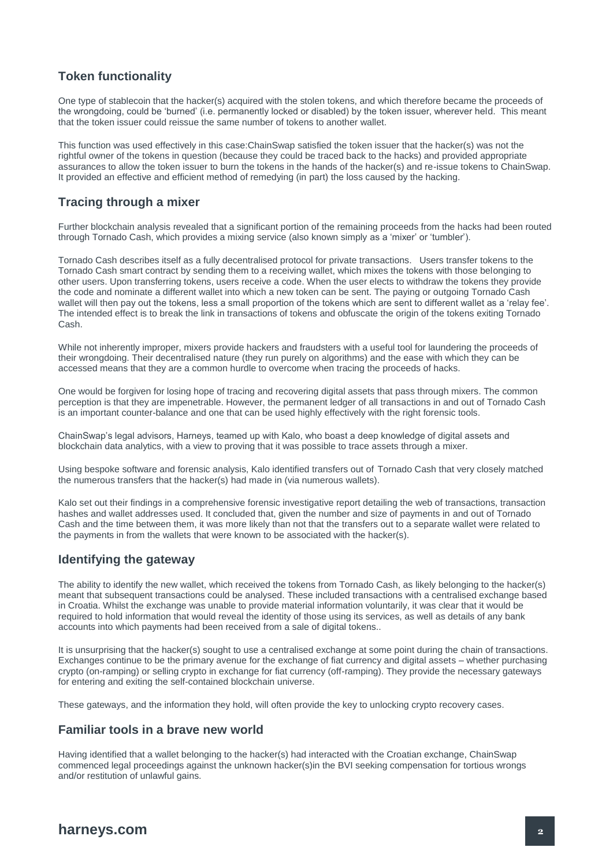## **Token functionality**

One type of stablecoin that the hacker(s) acquired with the stolen tokens, and which therefore became the proceeds of the wrongdoing, could be 'burned' (i.e. permanently locked or disabled) by the token issuer, wherever held. This meant that the token issuer could reissue the same number of tokens to another wallet.

This function was used effectively in this case:ChainSwap satisfied the token issuer that the hacker(s) was not the rightful owner of the tokens in question (because they could be traced back to the hacks) and provided appropriate assurances to allow the token issuer to burn the tokens in the hands of the hacker(s) and re-issue tokens to ChainSwap. It provided an effective and efficient method of remedying (in part) the loss caused by the hacking.

## **Tracing through a mixer**

Further blockchain analysis revealed that a significant portion of the remaining proceeds from the hacks had been routed through Tornado Cash, which provides a mixing service (also known simply as a 'mixer' or 'tumbler').

Tornado Cash describes itself as a fully decentralised protocol for private transactions. Users transfer tokens to the Tornado Cash smart contract by sending them to a receiving wallet, which mixes the tokens with those belonging to other users. Upon transferring tokens, users receive a code. When the user elects to withdraw the tokens they provide the code and nominate a different wallet into which a new token can be sent. The paying or outgoing Tornado Cash wallet will then pay out the tokens, less a small proportion of the tokens which are sent to different wallet as a 'relay fee'. The intended effect is to break the link in transactions of tokens and obfuscate the origin of the tokens exiting Tornado Cash.

While not inherently improper, mixers provide hackers and fraudsters with a useful tool for laundering the proceeds of their wrongdoing. Their decentralised nature (they run purely on algorithms) and the ease with which they can be accessed means that they are a common hurdle to overcome when tracing the proceeds of hacks.

One would be forgiven for losing hope of tracing and recovering digital assets that pass through mixers. The common perception is that they are impenetrable. However, the permanent ledger of all transactions in and out of Tornado Cash is an important counter-balance and one that can be used highly effectively with the right forensic tools.

ChainSwap's legal advisors, Harneys, teamed up with Kalo, who boast a deep knowledge of digital assets and blockchain data analytics, with a view to proving that it was possible to trace assets through a mixer.

Using bespoke software and forensic analysis, Kalo identified transfers out of Tornado Cash that very closely matched the numerous transfers that the hacker(s) had made in (via numerous wallets).

Kalo set out their findings in a comprehensive forensic investigative report detailing the web of transactions, transaction hashes and wallet addresses used. It concluded that, given the number and size of payments in and out of Tornado Cash and the time between them, it was more likely than not that the transfers out to a separate wallet were related to the payments in from the wallets that were known to be associated with the hacker(s).

## **Identifying the gateway**

The ability to identify the new wallet, which received the tokens from Tornado Cash, as likely belonging to the hacker(s) meant that subsequent transactions could be analysed. These included transactions with a centralised exchange based in Croatia. Whilst the exchange was unable to provide material information voluntarily, it was clear that it would be required to hold information that would reveal the identity of those using its services, as well as details of any bank accounts into which payments had been received from a sale of digital tokens..

It is unsurprising that the hacker(s) sought to use a centralised exchange at some point during the chain of transactions. Exchanges continue to be the primary avenue for the exchange of fiat currency and digital assets – whether purchasing crypto (on-ramping) or selling crypto in exchange for fiat currency (off-ramping). They provide the necessary gateways for entering and exiting the self-contained blockchain universe.

These gateways, and the information they hold, will often provide the key to unlocking crypto recovery cases.

### **Familiar tools in a brave new world**

Having identified that a wallet belonging to the hacker(s) had interacted with the Croatian exchange, ChainSwap commenced legal proceedings against the unknown hacker(s)in the BVI seeking compensation for tortious wrongs and/or restitution of unlawful gains.

## **harneys.com <sup>2</sup>**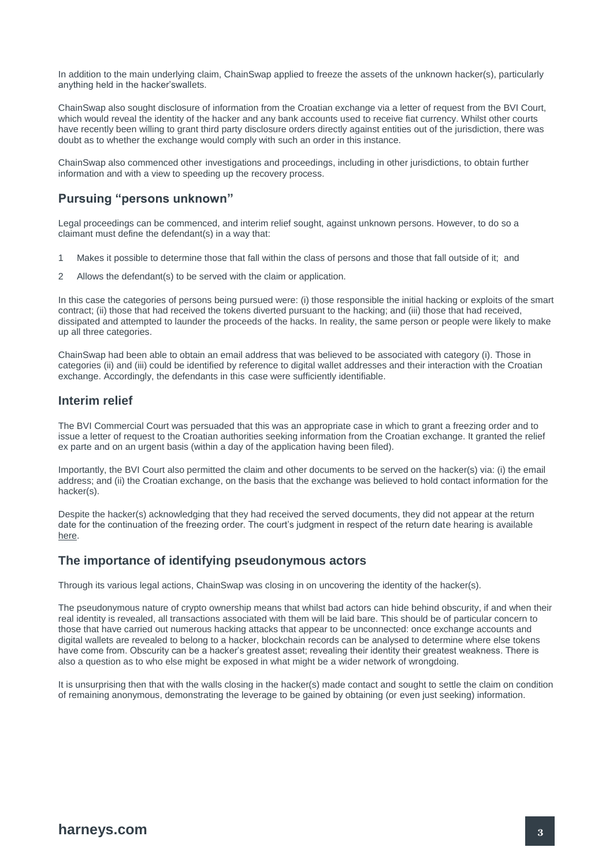In addition to the main underlying claim, ChainSwap applied to freeze the assets of the unknown hacker(s), particularly anything held in the hacker'swallets.

ChainSwap also sought disclosure of information from the Croatian exchange via a letter of request from the BVI Court, which would reveal the identity of the hacker and any bank accounts used to receive fiat currency. Whilst other courts have recently been willing to grant third party disclosure orders directly against entities out of the jurisdiction, there was doubt as to whether the exchange would comply with such an order in this instance.

ChainSwap also commenced other investigations and proceedings, including in other jurisdictions, to obtain further information and with a view to speeding up the recovery process.

## **Pursuing "persons unknown"**

Legal proceedings can be commenced, and interim relief sought, against unknown persons. However, to do so a claimant must define the defendant(s) in a way that:

- 1 Makes it possible to determine those that fall within the class of persons and those that fall outside of it; and
- 2 Allows the defendant(s) to be served with the claim or application.

In this case the categories of persons being pursued were: (i) those responsible the initial hacking or exploits of the smart contract; (ii) those that had received the tokens diverted pursuant to the hacking; and (iii) those that had received, dissipated and attempted to launder the proceeds of the hacks. In reality, the same person or people were likely to make up all three categories.

ChainSwap had been able to obtain an email address that was believed to be associated with category (i). Those in categories (ii) and (iii) could be identified by reference to digital wallet addresses and their interaction with the Croatian exchange. Accordingly, the defendants in this case were sufficiently identifiable.

### **Interim relief**

The BVI Commercial Court was persuaded that this was an appropriate case in which to grant a freezing order and to issue a letter of request to the Croatian authorities seeking information from the Croatian exchange. It granted the relief ex parte and on an urgent basis (within a day of the application having been filed).

Importantly, the BVI Court also permitted the claim and other documents to be served on the hacker(s) via: (i) the email address; and (ii) the Croatian exchange, on the basis that the exchange was believed to hold contact information for the hacker(s).

Despite the hacker(s) acknowledging that they had received the served documents, they did not appear at the return date for the continuation of the freezing order. The court's judgment in respect of the return date hearing is available [here.](https://resources.harneys.com/acton/attachment/6183/f-3f5e9816-f336-4d33-b049-de50a93001aa/1/-/-/-/-/BVIHCOM2022-0031%20-%20Chinswap%20LImited%20Sealed%20Judgment.PDF)

### **The importance of identifying pseudonymous actors**

Through its various legal actions, ChainSwap was closing in on uncovering the identity of the hacker(s).

The pseudonymous nature of crypto ownership means that whilst bad actors can hide behind obscurity, if and when their real identity is revealed, all transactions associated with them will be laid bare. This should be of particular concern to those that have carried out numerous hacking attacks that appear to be unconnected: once exchange accounts and digital wallets are revealed to belong to a hacker, blockchain records can be analysed to determine where else tokens have come from. Obscurity can be a hacker's greatest asset; revealing their identity their greatest weakness. There is also a question as to who else might be exposed in what might be a wider network of wrongdoing.

It is unsurprising then that with the walls closing in the hacker(s) made contact and sought to settle the claim on condition of remaining anonymous, demonstrating the leverage to be gained by obtaining (or even just seeking) information.